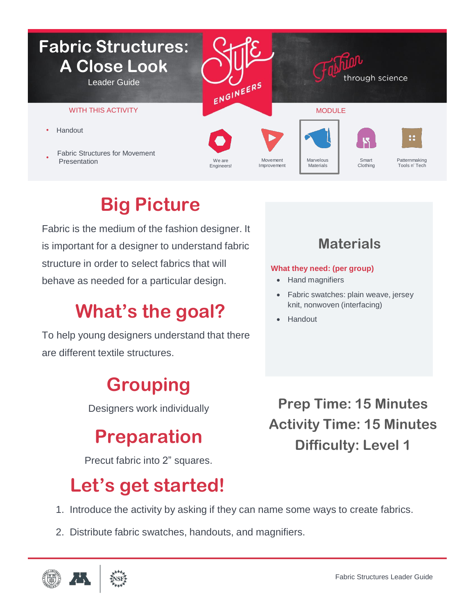

# **Big Picture**

Fabric is the medium of the fashion designer. It is important for a designer to understand fabric structure in order to select fabrics that will behave as needed for a particular design.

# **What's the goal?**

To help young designers understand that there are different textile structures.

## **Grouping**

Designers work individually

### **Preparation**

Precut fabric into 2" squares.

## **Let's get started!**

- 1. Introduce the activity by asking if they can name some ways to create fabrics.
- 2. Distribute fabric swatches, handouts, and magnifiers.



### **Materials**

#### **What they need: (per group)**

- Hand magnifiers
- Fabric swatches: plain weave, jersey knit, nonwoven (interfacing)
- Handout

**Prep Time: 15 Minutes Activity Time: 15 Minutes Difficulty: Level 1**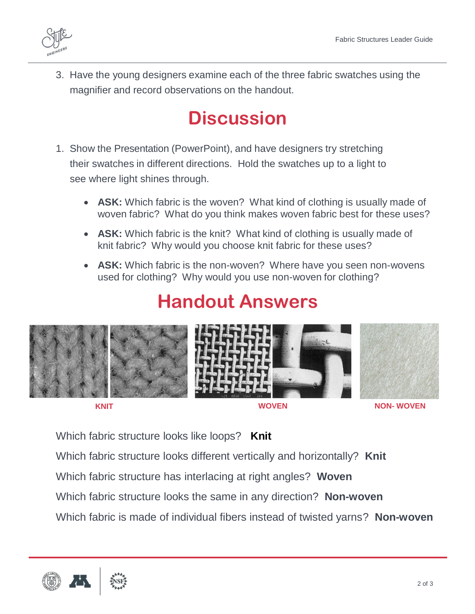3. Have the young designers examine each of the three fabric swatches using the magnifier and record observations on the handout.

### **Discussion**

- 1. Show the Presentation (PowerPoint), and have designers try stretching their swatches in different directions. Hold the swatches up to a light to see where light shines through.
	- **ASK:** Which fabric is the woven? What kind of clothing is usually made of woven fabric? What do you think makes woven fabric best for these uses?
	- **ASK:** Which fabric is the knit? What kind of clothing is usually made of knit fabric? Why would you choose knit fabric for these uses?
	- **ASK:** Which fabric is the non-woven? Where have you seen non-wovens used for clothing? Why would you use non-woven for clothing?

# **Handout Answers**



**KNIT WOVEN NON- WOVEN**

Which fabric structure looks like loops? **Knit**

Which fabric structure looks different vertically and horizontally? **Knit**

Which fabric structure has interlacing at right angles? **Woven**

Which fabric structure looks the same in any direction? **Non-woven**

Which fabric is made of individual fibers instead of twisted yarns? **Non-woven**